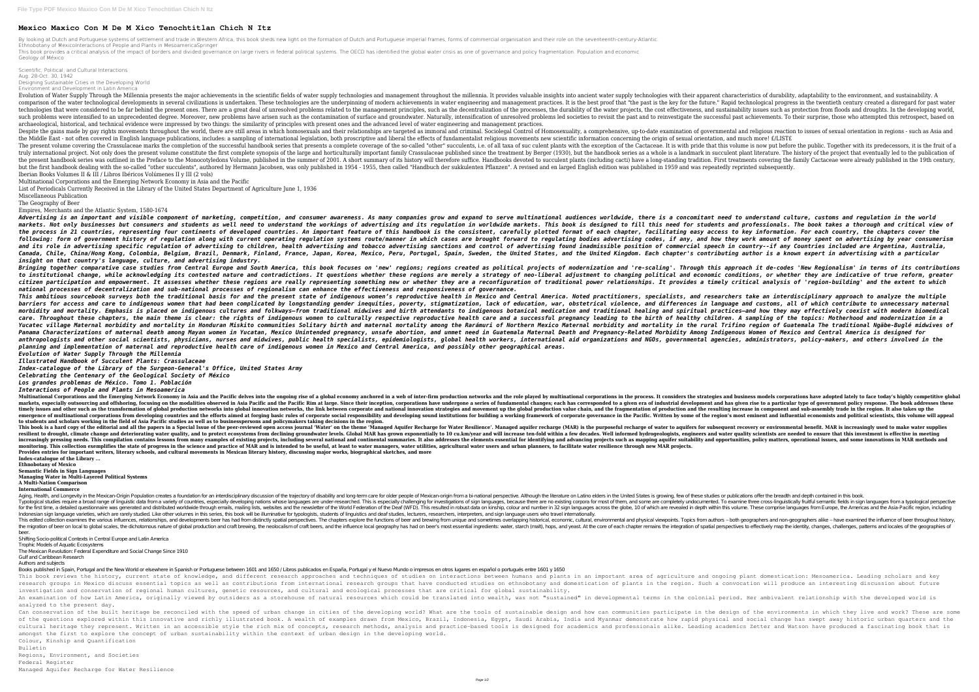## **Mexico Maxico Con M De M Xico Tenochtitlan Chich N Itz**

By looking at Dutch and Portuguese systems of settlement and trade in Western Africa, this book sheds new light on the formation of Dutch and Portuguese imperial frames, forms of commercial organisation and their role on t Ethnobotany of MexicoInteractions of People and Plants in MesoamericaSpringer This book provides a critical analysis of the impact of borders and divided governance on large rivers in federal political systems. The OECD has identified the global water crisis as one of governance and policy fragmenta Geology of México

Scientific, Political, and Cultural Interactions

Aug. 28-Oct. 30, 1942

Designing Sustainable Cities in the Developing World

Environment and Development in Latin America

Evolution of Water Supply Through the Millennia presents the major achievements in the scientific fields of water supply technologies and management throughout the millennia. It provides with their apparent characteristics comparison of the water technological developments in several civilizations is undertaken. These technologies are the underpinning of modern achievements in water engineering and management practices. It is the key for the technologies that were considered to be far behind the present ones. There are a great deal of unresolved problems related to the management principles, such as the decentralization of the water projects, the cost effectiv such problems were intensified to an unprecedented degree. Moreover, new problems have arisen such as the contamination of surface and to reinvestigate the successful past achievements. To their surprise, those who attempt archaeological, historical, and technical evidence were impressed by two things: the similarity of principles with present ones and the advanced level of water engineering and management practices. Despite the gains made by gay rights movements throughout the world, there are still areas in which homosexuals and their relationships are targeted as immoral and criminal. Sociolegal Control of governmental and religious the Middle East - not often covered in English language publications, includes: a sampling of international legislation, both proscriptive and liberal the effects of fundamentalist religious movements new scientific inform The present volume covering the Crassulaceae marks the completion of the successful handbook series that presents a complete coverage of the so-called "other" succulents, i.e. of all taxa of suc culent plants with the exce truly international project. Not only does the present volume constitute the first complete synopsis of the large and horticulturally important family Crassulaceae published since the treatment by Berger (1930), but the ha the present handbook series was outlined in the Preface to the Monocotyledons Volume, published in the summer of 2001. A short summary of its history will therefore suffice. Handbooks devoted to succulent plants (including but the first handbook dealing with the so-called "other succulents", authored by Hermann Jacobsen, was only published in 1954 - 1955, then called "Handbuch der sukkulenten Pflanzen". A revised and en larged English editio Iberian Books Volumes II & III / Libros Ibéricos Volúmenes II y III (2 vols)

Advertising is an important and visible component of marketing, competition, and consumer awareness. As many companies grow and expand to serve multinational audiences worldwide, there is a concomitant need to understand c markets. Not only businesses but consumers and students as well need to understand the workings of advertising and its regulation in worldwide markets. This book is designed to fill this need for students and professionals the process in 21 countries, representing four continents of developed countries. An important feature of this handbook is the consistent, carefully plotted format of each chapter, facilitating easy access to key informati following: form of government history of regulation along with current operating regulation systems route/manner in which cases are brought forward to regulating bodies advertising codes, if any, and how they work amount o and its role in advertising specific regulation of advertising to children, health advertising and tobacco advertising sanctions and control of advertising found inadmissible position of commercial speech in country--if an Canada, Chile, China/Hong Kong, Colombia, Belgium, Brazil, Denmark, Finland, France, Japan, Korea, Mexico, Peru, Portugal, Spain, Sweden, the United States, and the United Kingdom. Each chapter's contributing author is a k *insight on that country's language, culture, and advertising industry.*

Multinational Corporations and the Emerging Network Economy in Asia and the Pacific

List of Periodicals Currently Received in the Library of the United States Department of Agriculture June 1, 1936

Miscellaneous Publication

Bringing together comparative case studies from Central Europe and South America, this book focuses on 'new' regions; regions; regions; regions, regions, regions; regions; regions; regions; regions; regions; regions, regio to institutional change, while acknowledging its contested nature and contradictions. It questions whether these regions are merely a strategy of neo-liberal adjustment to changing political and economic conditions, or whe citizen participation and empowerment. It assesses whether these regions are really representing something new or whether they are a reconfiguration of traditional power relationships. It provides a timely critical analysi *national processes of decentralization and sub-national processes of regionalism can enhance the effectiveness and responsiveness of governance.* This ambitious sourcebook surveys both the traditional basis for and the present state of indigenous women's reproductive health in Mexico and Central America. Noted practitioners, specialists, and researchers take an inte barriers for access and care to indigenous women that had been complicated by longstanding gender inequities, poverty, stigmatization, lack of education, war, obstetrical violence, and differences in language and customs, morbidity and mortality. Emphasis is placed on indigenous cultures and folkways—from traditional midwives and birth attendants to indigenous botanical medication and traditional healing and spiritual practices—and how they care. Throughout these chapters, the main theme is clear: the rights of indigenous women to culturally respective reproductive health of healthy children. A sampling of the topics: Motherhood and modernization in a Yucatec village Maternal morbidity and mortality in Honduran Miskito communities Solitary birth and maternal mortality among the Rarámuri of Northern Mexico Maternal mortality in the rural Trifino region of Guatemala The t Panama Characterizations of maternal death among Mayan women in Yucatan, Mexico Unintended pregnancy, unsafe abortion, and unmet need in Guatemala Maternal Death and Pregnancy-Related Morbidity Among Indigenous Women of Me anthropologists and other social scientists, physicians, nurses and midwives, public health specialists, epidemiologists, global health workers, and ministrators, policy-makers, and others involved in the *planning and implementation of maternal and reproductive health care of indigenous women in Mexico and Central America, and possibly other geographical areas. Evolution of Water Supply Through the Millennia*

The Geography of Beer

Empires, Merchants and the Atlantic System, 1580-1674

Multinational Corporations and the Emerging Network Economy in Asia and the Pacific delves into the ongoing rise of a global economy anchored in a web of inter-firm production networks and business models corporations have markets, especially outsourcing and offshoring, focusing on the modalities observed in Asia Pacific and the Pacific and the Pacific and the Pacific Rim at large. Since their inception, corporations have undergone a series timely issues and other such as the transformation of global production networks into global innovation networks, the link between corporate and national innovation strategies and movement up the global production and the emergence of multinational corporations from developing countries and the efforts aimed at forging basic rules of corporate social responsibility and developing sound institutions for building a working framework of corpor **to students and scholars working in the field of Asia Pacific studies as well as to businesspersons and policymakers taking decisions in the region.** This book is a hard copy of the editorial and all the papers in a Special Issue of the peer-reviewed open access journal 'Water' on the theme 'Managed aquifer recharge of water to aquifers for subsequent recovery or enviro resilient to drought, climate change and deteriorating water quality, and to protect ecosystems from declining groundwater levels. Global MAR has grown exponentially to 10 cu.km/year and will increase ten-fold within a few increasingly pressing needs. This compilation contains lessons from many examples of existing projects, including several national and continental summaries. It also addresses the elements essential for identifying and adv monitoring. This collection exemplifies the state of progress in the science and practice of MAR and is intended to be useful, at least to water managers, water utilities, agricultural water users and urban planners, to fa **Provides entries for important writers, literary schools, and cultural movements in Mexican literary history, discussing major works, biographical sketches, and more Index-catalogue of the Library ...**

Aging, Health, and Longevity in the Mexican-Origin Population creates a foundation for an interdisciplinary discussion of the trajectory of disability and long-term care for older people of Mexican-origin from a bi-nationa Typological studies require a broad range of linguistic data from a variety of countries, especially developing nations whose languages are under-researched. This is especially challenging for investigations of sign langua for the first time, a detailed questionnaire was generated and distributed worldwide through emails, mailing lists, websites and the newsletter of the World Federation of the Deaf (WFD). This resulted in depth within this Indonesian sign language varieties, which are rarely studied. Like other volumes in this series, this book will be illuminative for typologists, students of linguistics and deaf studies, lecturers, researchers, interpreter This edited collection examines the various influences, relationships, and developments beer has had from distinctly spatial perspectives. The chapters explore the functions of beer and brewing from authors – both geograph the migration of beer on local to global scales, the dichotomous nature of global production and craft brewing, the meolocalism of craft brewing, the meolocalism of craft beers, and the influence local geography has had on beer.

Books published in Spain, Portugal and the New World or elsewhere in Spanish or Portuguese between 1601 and 1650 / Libros publicados en España, Portugal y el Nuevo Mundo o impresos en otros lugares en español o portugués e This book reviews the history, current state of knowledge, and different research approaches and techniques of studies on interactions between humans and plant area of agriculture and ongoing plant domestication: Mesoameri research groups in Mexico discuss essential topics as well as contributions from international research groups that have conducted studies on ethnobotany and domestication of plants in the region. Such a convocation will p investigation and conservation of regional human cultures, genetic resources, and cultural and ecological processes that are critical for global sustainability. An examination of how Latin America, originally viewed by outsiders as a storehouse of natural resources which could be translated into wealth, was not "sustained" in developmental terms in the colonial period. Her ambival analyzed to the present day.

Can conservation of the built heritage be reconciled with the speed of urban change in cities of the developing world? What are the tools of sustainable design and how can communities participate in the design of the envir of the questions explored within this innovative and richly illustrated book. A wealth of examples drawn from Mexico, Brazil, Indonesia, Egypt, Saudi Arabia, India and Myanmar demonstrate how rapid physical and social chan cultural heritage they represent. Written in an accessible style the rich mix of concepts, research methods, analysis and practice-based tools is designed for academics and professionals alike. Leading academics Zetter and amongst the first to explore the concept of urban sustainability within the context of urban design in the developing world. Colour, Kinship and Quantification

*Illustrated Handbook of Succulent Plants: Crassulaceae*

*Index-catalogue of the Library of the Surgeon-General's Office, United States Army*

*Celebrating the Centenary of the Geological Society of México*

*Los grandes problemas de México. Tomo 1. Población*

*Interactions of People and Plants in Mesoamerica*

## **Ethnobotany of Mexico**

**Semantic Fields in Sign Languages**

## **Managing Water in Multi-Layered Political Systems**

**A Multi-Nation Comparison International Commerce**

Shifting Socio-political Contexts in Central Europe and Latin America

Trophic Models of Aquatic Ecosystems

The Mexican Revolution: Federal Expenditure and Social Change Since 1910

Gulf and Caribbean Research

Authors and subjects

Bulletin

Regions, Environment, and Societies

Federal Register

Managed Aquifer Recharge for Water Resilience